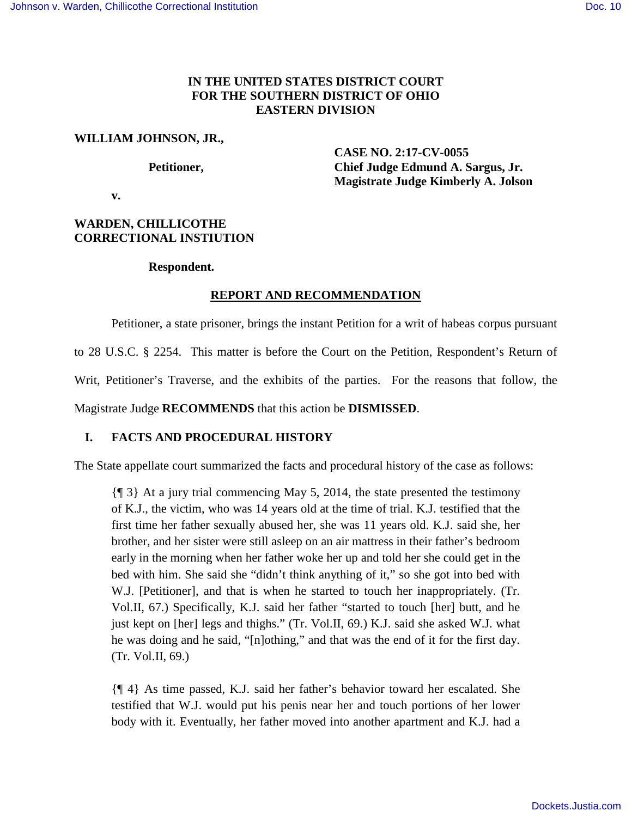# **IN THE UNITED STATES DISTRICT COURT FOR THE SOUTHERN DISTRICT OF OHIO EASTERN DIVISION**

# **WILLIAM JOHNSON, JR.,**

 **CASE NO. 2:17-CV-0055**  Petitioner, Chief Judge Edmund A. Sargus, Jr.  **Magistrate Judge Kimberly A. Jolson** 

 **v.** 

# **WARDEN, CHILLICOTHE CORRECTIONAL INSTIUTION**

# **Respondent.**

# **REPORT AND RECOMMENDATION**

Petitioner, a state prisoner, brings the instant Petition for a writ of habeas corpus pursuant

to 28 U.S.C. § 2254. This matter is before the Court on the Petition, Respondent's Return of

Writ, Petitioner's Traverse, and the exhibits of the parties. For the reasons that follow, the

Magistrate Judge **RECOMMENDS** that this action be **DISMISSED**.

# **I. FACTS AND PROCEDURAL HISTORY**

The State appellate court summarized the facts and procedural history of the case as follows:

{¶ 3} At a jury trial commencing May 5, 2014, the state presented the testimony of K.J., the victim, who was 14 years old at the time of trial. K.J. testified that the first time her father sexually abused her, she was 11 years old. K.J. said she, her brother, and her sister were still asleep on an air mattress in their father's bedroom early in the morning when her father woke her up and told her she could get in the bed with him. She said she "didn't think anything of it," so she got into bed with W.J. [Petitioner], and that is when he started to touch her inappropriately. (Tr. Vol.II, 67.) Specifically, K.J. said her father "started to touch [her] butt, and he just kept on [her] legs and thighs." (Tr. Vol.II, 69.) K.J. said she asked W.J. what he was doing and he said, "[n]othing," and that was the end of it for the first day. (Tr. Vol.II, 69.)

{¶ 4} As time passed, K.J. said her father's behavior toward her escalated. She testified that W.J. would put his penis near her and touch portions of her lower body with it. Eventually, her father moved into another apartment and K.J. had a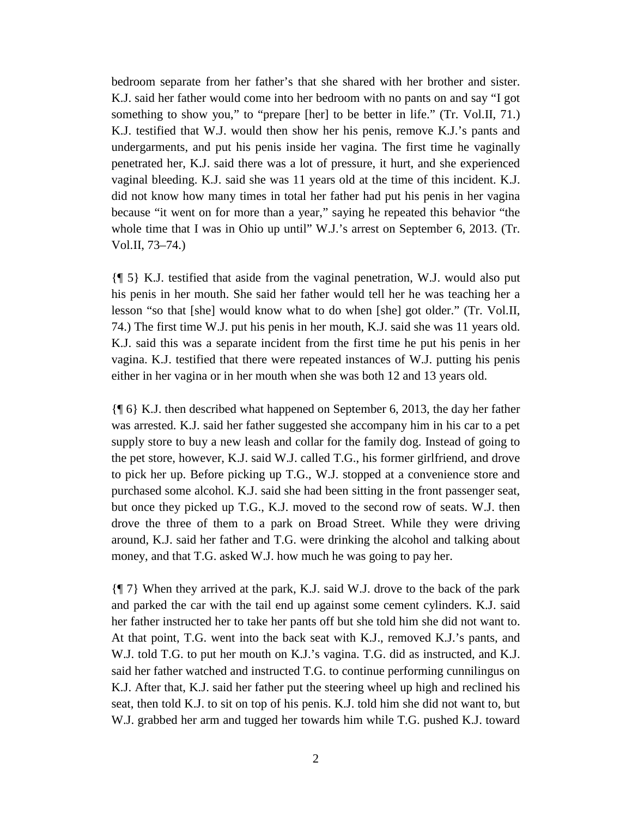bedroom separate from her father's that she shared with her brother and sister. K.J. said her father would come into her bedroom with no pants on and say "I got something to show you," to "prepare [her] to be better in life." (Tr. Vol.II, 71.) K.J. testified that W.J. would then show her his penis, remove K.J.'s pants and undergarments, and put his penis inside her vagina. The first time he vaginally penetrated her, K.J. said there was a lot of pressure, it hurt, and she experienced vaginal bleeding. K.J. said she was 11 years old at the time of this incident. K.J. did not know how many times in total her father had put his penis in her vagina because "it went on for more than a year," saying he repeated this behavior "the whole time that I was in Ohio up until" W.J.'s arrest on September 6, 2013. (Tr. Vol.II, 73–74.)

{¶ 5} K.J. testified that aside from the vaginal penetration, W.J. would also put his penis in her mouth. She said her father would tell her he was teaching her a lesson "so that [she] would know what to do when [she] got older." (Tr. Vol.II, 74.) The first time W.J. put his penis in her mouth, K.J. said she was 11 years old. K.J. said this was a separate incident from the first time he put his penis in her vagina. K.J. testified that there were repeated instances of W.J. putting his penis either in her vagina or in her mouth when she was both 12 and 13 years old.

{¶ 6} K.J. then described what happened on September 6, 2013, the day her father was arrested. K.J. said her father suggested she accompany him in his car to a pet supply store to buy a new leash and collar for the family dog. Instead of going to the pet store, however, K.J. said W.J. called T.G., his former girlfriend, and drove to pick her up. Before picking up T.G., W.J. stopped at a convenience store and purchased some alcohol. K.J. said she had been sitting in the front passenger seat, but once they picked up T.G., K.J. moved to the second row of seats. W.J. then drove the three of them to a park on Broad Street. While they were driving around, K.J. said her father and T.G. were drinking the alcohol and talking about money, and that T.G. asked W.J. how much he was going to pay her.

{¶ 7} When they arrived at the park, K.J. said W.J. drove to the back of the park and parked the car with the tail end up against some cement cylinders. K.J. said her father instructed her to take her pants off but she told him she did not want to. At that point, T.G. went into the back seat with K.J., removed K.J.'s pants, and W.J. told T.G. to put her mouth on K.J.'s vagina. T.G. did as instructed, and K.J. said her father watched and instructed T.G. to continue performing cunnilingus on K.J. After that, K.J. said her father put the steering wheel up high and reclined his seat, then told K.J. to sit on top of his penis. K.J. told him she did not want to, but W.J. grabbed her arm and tugged her towards him while T.G. pushed K.J. toward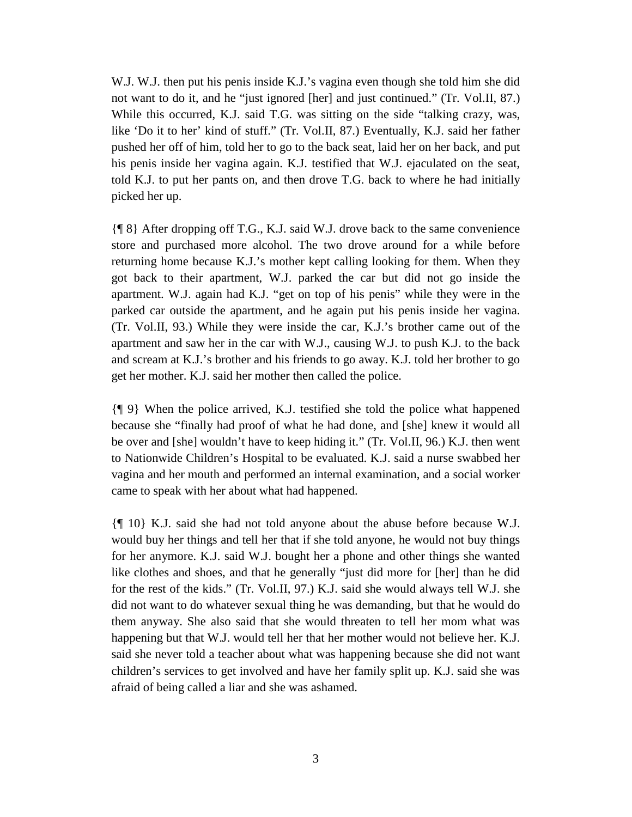W.J. W.J. then put his penis inside K.J.'s vagina even though she told him she did not want to do it, and he "just ignored [her] and just continued." (Tr. Vol.II, 87.) While this occurred, K.J. said T.G. was sitting on the side "talking crazy, was, like 'Do it to her' kind of stuff." (Tr. Vol.II, 87.) Eventually, K.J. said her father pushed her off of him, told her to go to the back seat, laid her on her back, and put his penis inside her vagina again. K.J. testified that W.J. ejaculated on the seat, told K.J. to put her pants on, and then drove T.G. back to where he had initially picked her up.

{¶ 8} After dropping off T.G., K.J. said W.J. drove back to the same convenience store and purchased more alcohol. The two drove around for a while before returning home because K.J.'s mother kept calling looking for them. When they got back to their apartment, W.J. parked the car but did not go inside the apartment. W.J. again had K.J. "get on top of his penis" while they were in the parked car outside the apartment, and he again put his penis inside her vagina. (Tr. Vol.II, 93.) While they were inside the car, K.J.'s brother came out of the apartment and saw her in the car with W.J., causing W.J. to push K.J. to the back and scream at K.J.'s brother and his friends to go away. K.J. told her brother to go get her mother. K.J. said her mother then called the police.

{¶ 9} When the police arrived, K.J. testified she told the police what happened because she "finally had proof of what he had done, and [she] knew it would all be over and [she] wouldn't have to keep hiding it." (Tr. Vol.II, 96.) K.J. then went to Nationwide Children's Hospital to be evaluated. K.J. said a nurse swabbed her vagina and her mouth and performed an internal examination, and a social worker came to speak with her about what had happened.

{¶ 10} K.J. said she had not told anyone about the abuse before because W.J. would buy her things and tell her that if she told anyone, he would not buy things for her anymore. K.J. said W.J. bought her a phone and other things she wanted like clothes and shoes, and that he generally "just did more for [her] than he did for the rest of the kids." (Tr. Vol.II, 97.) K.J. said she would always tell W.J. she did not want to do whatever sexual thing he was demanding, but that he would do them anyway. She also said that she would threaten to tell her mom what was happening but that W.J. would tell her that her mother would not believe her. K.J. said she never told a teacher about what was happening because she did not want children's services to get involved and have her family split up. K.J. said she was afraid of being called a liar and she was ashamed.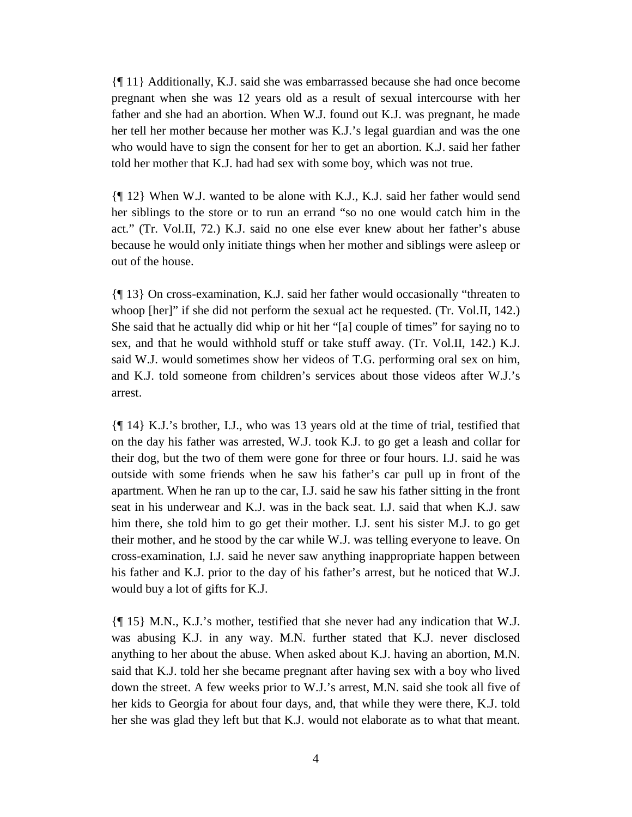{¶ 11} Additionally, K.J. said she was embarrassed because she had once become pregnant when she was 12 years old as a result of sexual intercourse with her father and she had an abortion. When W.J. found out K.J. was pregnant, he made her tell her mother because her mother was K.J.'s legal guardian and was the one who would have to sign the consent for her to get an abortion. K.J. said her father told her mother that K.J. had had sex with some boy, which was not true.

{¶ 12} When W.J. wanted to be alone with K.J., K.J. said her father would send her siblings to the store or to run an errand "so no one would catch him in the act." (Tr. Vol.II, 72.) K.J. said no one else ever knew about her father's abuse because he would only initiate things when her mother and siblings were asleep or out of the house.

{¶ 13} On cross-examination, K.J. said her father would occasionally "threaten to whoop [her]" if she did not perform the sexual act he requested. (Tr. Vol.II, 142.) She said that he actually did whip or hit her "[a] couple of times" for saying no to sex, and that he would withhold stuff or take stuff away. (Tr. Vol.II, 142.) K.J. said W.J. would sometimes show her videos of T.G. performing oral sex on him, and K.J. told someone from children's services about those videos after W.J.'s arrest.

{¶ 14} K.J.'s brother, I.J., who was 13 years old at the time of trial, testified that on the day his father was arrested, W.J. took K.J. to go get a leash and collar for their dog, but the two of them were gone for three or four hours. I.J. said he was outside with some friends when he saw his father's car pull up in front of the apartment. When he ran up to the car, I.J. said he saw his father sitting in the front seat in his underwear and K.J. was in the back seat. I.J. said that when K.J. saw him there, she told him to go get their mother. I.J. sent his sister M.J. to go get their mother, and he stood by the car while W.J. was telling everyone to leave. On cross-examination, I.J. said he never saw anything inappropriate happen between his father and K.J. prior to the day of his father's arrest, but he noticed that W.J. would buy a lot of gifts for K.J.

{¶ 15} M.N., K.J.'s mother, testified that she never had any indication that W.J. was abusing K.J. in any way. M.N. further stated that K.J. never disclosed anything to her about the abuse. When asked about K.J. having an abortion, M.N. said that K.J. told her she became pregnant after having sex with a boy who lived down the street. A few weeks prior to W.J.'s arrest, M.N. said she took all five of her kids to Georgia for about four days, and, that while they were there, K.J. told her she was glad they left but that K.J. would not elaborate as to what that meant.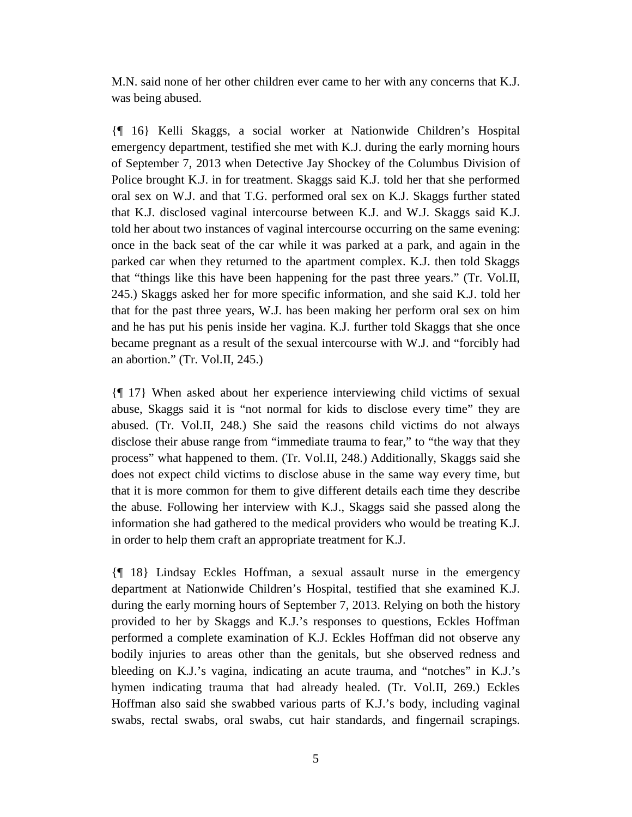M.N. said none of her other children ever came to her with any concerns that K.J. was being abused.

{¶ 16} Kelli Skaggs, a social worker at Nationwide Children's Hospital emergency department, testified she met with K.J. during the early morning hours of September 7, 2013 when Detective Jay Shockey of the Columbus Division of Police brought K.J. in for treatment. Skaggs said K.J. told her that she performed oral sex on W.J. and that T.G. performed oral sex on K.J. Skaggs further stated that K.J. disclosed vaginal intercourse between K.J. and W.J. Skaggs said K.J. told her about two instances of vaginal intercourse occurring on the same evening: once in the back seat of the car while it was parked at a park, and again in the parked car when they returned to the apartment complex. K.J. then told Skaggs that "things like this have been happening for the past three years." (Tr. Vol.II, 245.) Skaggs asked her for more specific information, and she said K.J. told her that for the past three years, W.J. has been making her perform oral sex on him and he has put his penis inside her vagina. K.J. further told Skaggs that she once became pregnant as a result of the sexual intercourse with W.J. and "forcibly had an abortion." (Tr. Vol.II, 245.)

{¶ 17} When asked about her experience interviewing child victims of sexual abuse, Skaggs said it is "not normal for kids to disclose every time" they are abused. (Tr. Vol.II, 248.) She said the reasons child victims do not always disclose their abuse range from "immediate trauma to fear," to "the way that they process" what happened to them. (Tr. Vol.II, 248.) Additionally, Skaggs said she does not expect child victims to disclose abuse in the same way every time, but that it is more common for them to give different details each time they describe the abuse. Following her interview with K.J., Skaggs said she passed along the information she had gathered to the medical providers who would be treating K.J. in order to help them craft an appropriate treatment for K.J.

{¶ 18} Lindsay Eckles Hoffman, a sexual assault nurse in the emergency department at Nationwide Children's Hospital, testified that she examined K.J. during the early morning hours of September 7, 2013. Relying on both the history provided to her by Skaggs and K.J.'s responses to questions, Eckles Hoffman performed a complete examination of K.J. Eckles Hoffman did not observe any bodily injuries to areas other than the genitals, but she observed redness and bleeding on K.J.'s vagina, indicating an acute trauma, and "notches" in K.J.'s hymen indicating trauma that had already healed. (Tr. Vol.II, 269.) Eckles Hoffman also said she swabbed various parts of K.J.'s body, including vaginal swabs, rectal swabs, oral swabs, cut hair standards, and fingernail scrapings.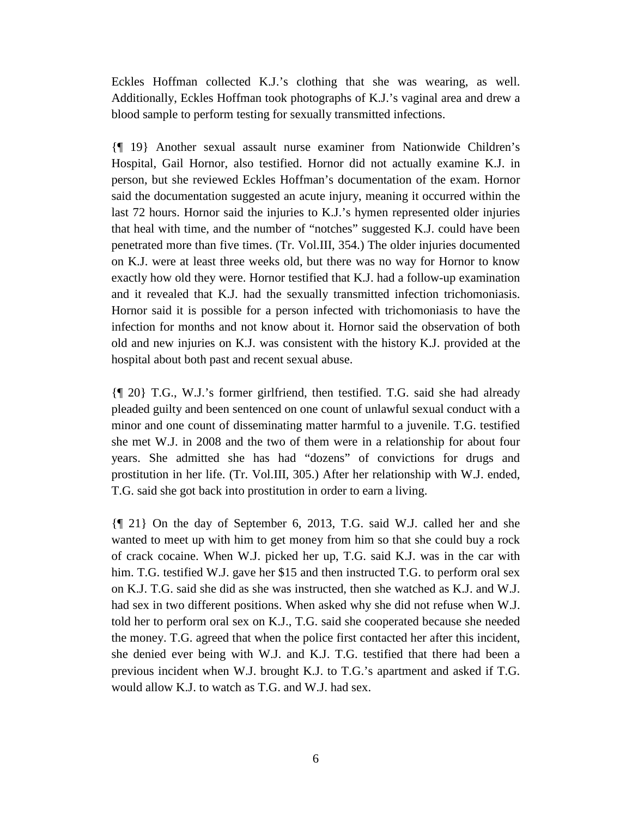Eckles Hoffman collected K.J.'s clothing that she was wearing, as well. Additionally, Eckles Hoffman took photographs of K.J.'s vaginal area and drew a blood sample to perform testing for sexually transmitted infections.

{¶ 19} Another sexual assault nurse examiner from Nationwide Children's Hospital, Gail Hornor, also testified. Hornor did not actually examine K.J. in person, but she reviewed Eckles Hoffman's documentation of the exam. Hornor said the documentation suggested an acute injury, meaning it occurred within the last 72 hours. Hornor said the injuries to K.J.'s hymen represented older injuries that heal with time, and the number of "notches" suggested K.J. could have been penetrated more than five times. (Tr. Vol.III, 354.) The older injuries documented on K.J. were at least three weeks old, but there was no way for Hornor to know exactly how old they were. Hornor testified that K.J. had a follow-up examination and it revealed that K.J. had the sexually transmitted infection trichomoniasis. Hornor said it is possible for a person infected with trichomoniasis to have the infection for months and not know about it. Hornor said the observation of both old and new injuries on K.J. was consistent with the history K.J. provided at the hospital about both past and recent sexual abuse.

{¶ 20} T.G., W.J.'s former girlfriend, then testified. T.G. said she had already pleaded guilty and been sentenced on one count of unlawful sexual conduct with a minor and one count of disseminating matter harmful to a juvenile. T.G. testified she met W.J. in 2008 and the two of them were in a relationship for about four years. She admitted she has had "dozens" of convictions for drugs and prostitution in her life. (Tr. Vol.III, 305.) After her relationship with W.J. ended, T.G. said she got back into prostitution in order to earn a living.

{¶ 21} On the day of September 6, 2013, T.G. said W.J. called her and she wanted to meet up with him to get money from him so that she could buy a rock of crack cocaine. When W.J. picked her up, T.G. said K.J. was in the car with him. T.G. testified W.J. gave her \$15 and then instructed T.G. to perform oral sex on K.J. T.G. said she did as she was instructed, then she watched as K.J. and W.J. had sex in two different positions. When asked why she did not refuse when W.J. told her to perform oral sex on K.J., T.G. said she cooperated because she needed the money. T.G. agreed that when the police first contacted her after this incident, she denied ever being with W.J. and K.J. T.G. testified that there had been a previous incident when W.J. brought K.J. to T.G.'s apartment and asked if T.G. would allow K.J. to watch as T.G. and W.J. had sex.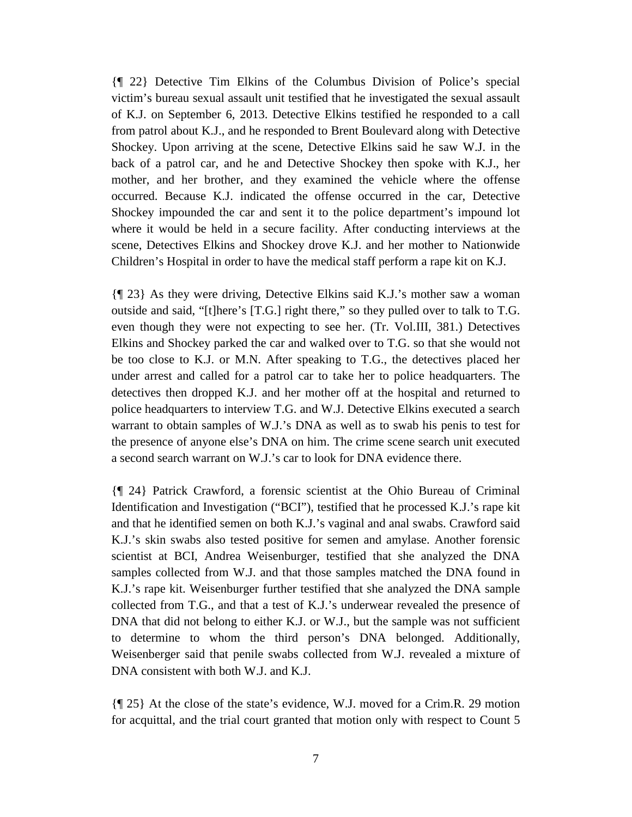{¶ 22} Detective Tim Elkins of the Columbus Division of Police's special victim's bureau sexual assault unit testified that he investigated the sexual assault of K.J. on September 6, 2013. Detective Elkins testified he responded to a call from patrol about K.J., and he responded to Brent Boulevard along with Detective Shockey. Upon arriving at the scene, Detective Elkins said he saw W.J. in the back of a patrol car, and he and Detective Shockey then spoke with K.J., her mother, and her brother, and they examined the vehicle where the offense occurred. Because K.J. indicated the offense occurred in the car, Detective Shockey impounded the car and sent it to the police department's impound lot where it would be held in a secure facility. After conducting interviews at the scene, Detectives Elkins and Shockey drove K.J. and her mother to Nationwide Children's Hospital in order to have the medical staff perform a rape kit on K.J.

{¶ 23} As they were driving, Detective Elkins said K.J.'s mother saw a woman outside and said, "[t]here's [T.G.] right there," so they pulled over to talk to T.G. even though they were not expecting to see her. (Tr. Vol.III, 381.) Detectives Elkins and Shockey parked the car and walked over to T.G. so that she would not be too close to K.J. or M.N. After speaking to T.G., the detectives placed her under arrest and called for a patrol car to take her to police headquarters. The detectives then dropped K.J. and her mother off at the hospital and returned to police headquarters to interview T.G. and W.J. Detective Elkins executed a search warrant to obtain samples of W.J.'s DNA as well as to swab his penis to test for the presence of anyone else's DNA on him. The crime scene search unit executed a second search warrant on W.J.'s car to look for DNA evidence there.

{¶ 24} Patrick Crawford, a forensic scientist at the Ohio Bureau of Criminal Identification and Investigation ("BCI"), testified that he processed K.J.'s rape kit and that he identified semen on both K.J.'s vaginal and anal swabs. Crawford said K.J.'s skin swabs also tested positive for semen and amylase. Another forensic scientist at BCI, Andrea Weisenburger, testified that she analyzed the DNA samples collected from W.J. and that those samples matched the DNA found in K.J.'s rape kit. Weisenburger further testified that she analyzed the DNA sample collected from T.G., and that a test of K.J.'s underwear revealed the presence of DNA that did not belong to either K.J. or W.J., but the sample was not sufficient to determine to whom the third person's DNA belonged. Additionally, Weisenberger said that penile swabs collected from W.J. revealed a mixture of DNA consistent with both W.J. and K.J.

{¶ 25} At the close of the state's evidence, W.J. moved for a Crim.R. 29 motion for acquittal, and the trial court granted that motion only with respect to Count 5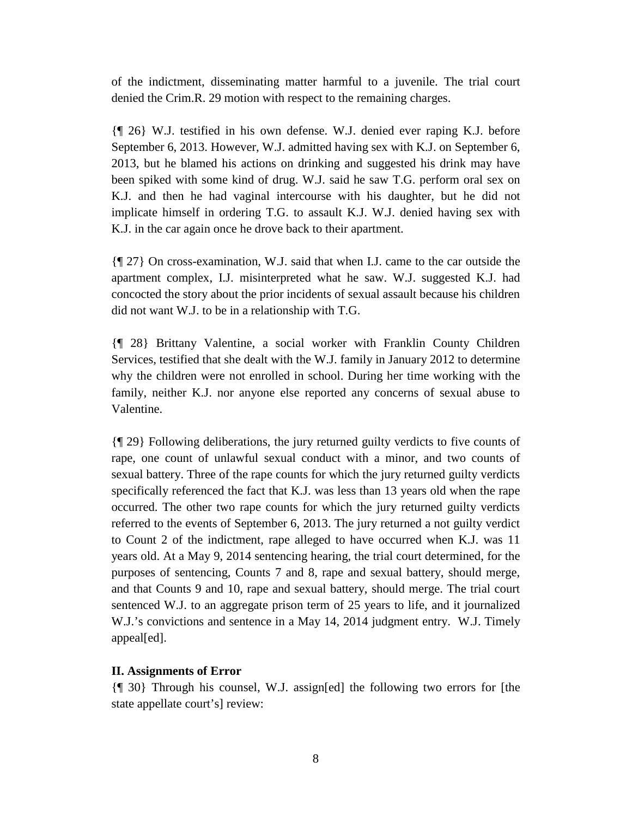of the indictment, disseminating matter harmful to a juvenile. The trial court denied the Crim.R. 29 motion with respect to the remaining charges.

{¶ 26} W.J. testified in his own defense. W.J. denied ever raping K.J. before September 6, 2013. However, W.J. admitted having sex with K.J. on September 6, 2013, but he blamed his actions on drinking and suggested his drink may have been spiked with some kind of drug. W.J. said he saw T.G. perform oral sex on K.J. and then he had vaginal intercourse with his daughter, but he did not implicate himself in ordering T.G. to assault K.J. W.J. denied having sex with K.J. in the car again once he drove back to their apartment.

{¶ 27} On cross-examination, W.J. said that when I.J. came to the car outside the apartment complex, I.J. misinterpreted what he saw. W.J. suggested K.J. had concocted the story about the prior incidents of sexual assault because his children did not want W.J. to be in a relationship with T.G.

{¶ 28} Brittany Valentine, a social worker with Franklin County Children Services, testified that she dealt with the W.J. family in January 2012 to determine why the children were not enrolled in school. During her time working with the family, neither K.J. nor anyone else reported any concerns of sexual abuse to Valentine.

{¶ 29} Following deliberations, the jury returned guilty verdicts to five counts of rape, one count of unlawful sexual conduct with a minor, and two counts of sexual battery. Three of the rape counts for which the jury returned guilty verdicts specifically referenced the fact that K.J. was less than 13 years old when the rape occurred. The other two rape counts for which the jury returned guilty verdicts referred to the events of September 6, 2013. The jury returned a not guilty verdict to Count 2 of the indictment, rape alleged to have occurred when K.J. was 11 years old. At a May 9, 2014 sentencing hearing, the trial court determined, for the purposes of sentencing, Counts 7 and 8, rape and sexual battery, should merge, and that Counts 9 and 10, rape and sexual battery, should merge. The trial court sentenced W.J. to an aggregate prison term of 25 years to life, and it journalized W.J.'s convictions and sentence in a May 14, 2014 judgment entry. W.J. Timely appeal[ed].

## **II. Assignments of Error**

{¶ 30} Through his counsel, W.J. assign[ed] the following two errors for [the state appellate court's] review: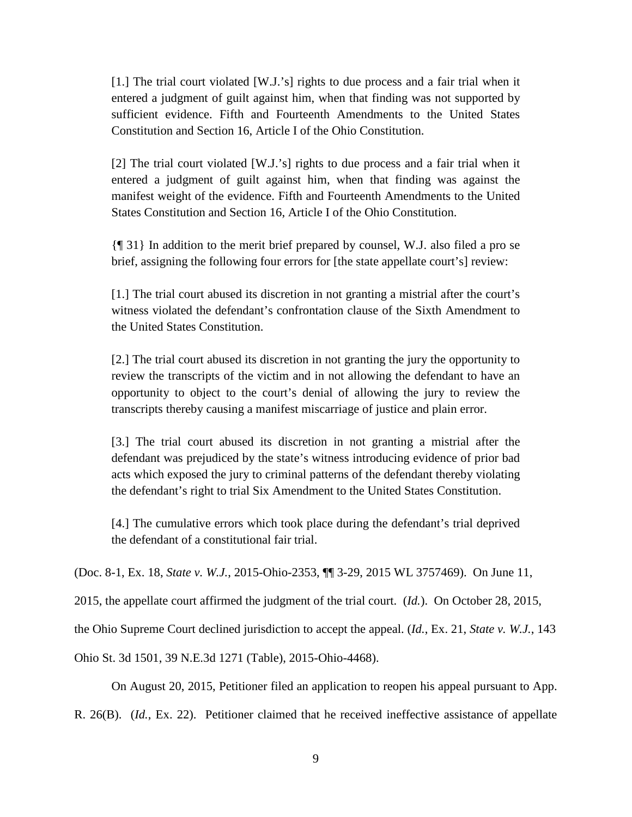[1.] The trial court violated [W.J.'s] rights to due process and a fair trial when it entered a judgment of guilt against him, when that finding was not supported by sufficient evidence. Fifth and Fourteenth Amendments to the United States Constitution and Section 16, Article I of the Ohio Constitution.

[2] The trial court violated [W.J.'s] rights to due process and a fair trial when it entered a judgment of guilt against him, when that finding was against the manifest weight of the evidence. Fifth and Fourteenth Amendments to the United States Constitution and Section 16, Article I of the Ohio Constitution.

{¶ 31} In addition to the merit brief prepared by counsel, W.J. also filed a pro se brief, assigning the following four errors for [the state appellate court's] review:

[1.] The trial court abused its discretion in not granting a mistrial after the court's witness violated the defendant's confrontation clause of the Sixth Amendment to the United States Constitution.

[2.] The trial court abused its discretion in not granting the jury the opportunity to review the transcripts of the victim and in not allowing the defendant to have an opportunity to object to the court's denial of allowing the jury to review the transcripts thereby causing a manifest miscarriage of justice and plain error.

[3.] The trial court abused its discretion in not granting a mistrial after the defendant was prejudiced by the state's witness introducing evidence of prior bad acts which exposed the jury to criminal patterns of the defendant thereby violating the defendant's right to trial Six Amendment to the United States Constitution.

[4.] The cumulative errors which took place during the defendant's trial deprived the defendant of a constitutional fair trial.

(Doc. 8-1, Ex. 18, *State v. W.J.*, 2015-Ohio-2353, ¶¶ 3-29, 2015 WL 3757469). On June 11,

2015, the appellate court affirmed the judgment of the trial court. (*Id.*). On October 28, 2015,

the Ohio Supreme Court declined jurisdiction to accept the appeal. (*Id.*, Ex. 21, *State v. W.J.*, 143

Ohio St. 3d 1501, 39 N.E.3d 1271 (Table), 2015-Ohio-4468).

On August 20, 2015, Petitioner filed an application to reopen his appeal pursuant to App.

R. 26(B). (*Id.*, Ex. 22). Petitioner claimed that he received ineffective assistance of appellate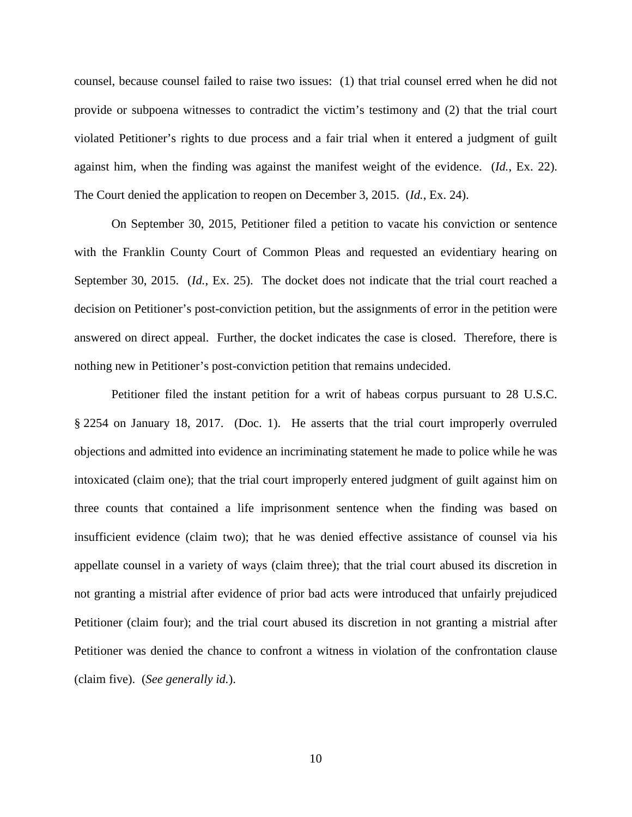counsel, because counsel failed to raise two issues: (1) that trial counsel erred when he did not provide or subpoena witnesses to contradict the victim's testimony and (2) that the trial court violated Petitioner's rights to due process and a fair trial when it entered a judgment of guilt against him, when the finding was against the manifest weight of the evidence. (*Id.*, Ex. 22). The Court denied the application to reopen on December 3, 2015. (*Id.*, Ex. 24).

On September 30, 2015, Petitioner filed a petition to vacate his conviction or sentence with the Franklin County Court of Common Pleas and requested an evidentiary hearing on September 30, 2015. (*Id.*, Ex. 25). The docket does not indicate that the trial court reached a decision on Petitioner's post-conviction petition, but the assignments of error in the petition were answered on direct appeal. Further, the docket indicates the case is closed. Therefore, there is nothing new in Petitioner's post-conviction petition that remains undecided.

Petitioner filed the instant petition for a writ of habeas corpus pursuant to 28 U.S.C. § 2254 on January 18, 2017. (Doc. 1). He asserts that the trial court improperly overruled objections and admitted into evidence an incriminating statement he made to police while he was intoxicated (claim one); that the trial court improperly entered judgment of guilt against him on three counts that contained a life imprisonment sentence when the finding was based on insufficient evidence (claim two); that he was denied effective assistance of counsel via his appellate counsel in a variety of ways (claim three); that the trial court abused its discretion in not granting a mistrial after evidence of prior bad acts were introduced that unfairly prejudiced Petitioner (claim four); and the trial court abused its discretion in not granting a mistrial after Petitioner was denied the chance to confront a witness in violation of the confrontation clause (claim five). (*See generally id.*).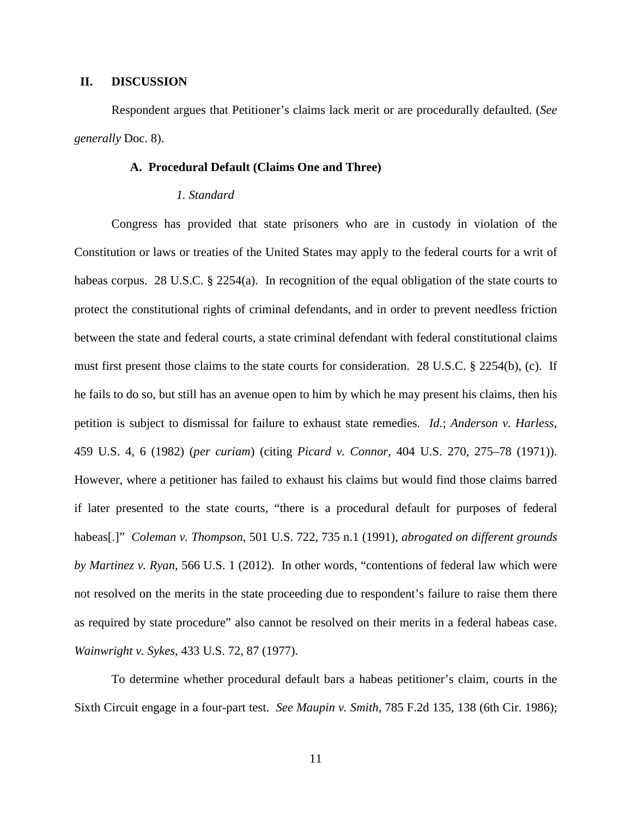#### **II. DISCUSSION**

Respondent argues that Petitioner's claims lack merit or are procedurally defaulted. (*See generally* Doc. 8).

## **A. Procedural Default (Claims One and Three)**

#### *1. Standard*

Congress has provided that state prisoners who are in custody in violation of the Constitution or laws or treaties of the United States may apply to the federal courts for a writ of habeas corpus. 28 U.S.C. § 2254(a). In recognition of the equal obligation of the state courts to protect the constitutional rights of criminal defendants, and in order to prevent needless friction between the state and federal courts, a state criminal defendant with federal constitutional claims must first present those claims to the state courts for consideration. 28 U.S.C. § 2254(b), (c). If he fails to do so, but still has an avenue open to him by which he may present his claims, then his petition is subject to dismissal for failure to exhaust state remedies. *Id.*; *Anderson v. Harless*, 459 U.S. 4, 6 (1982) (*per curiam*) (citing *Picard v. Connor*, 404 U.S. 270, 275–78 (1971)). However, where a petitioner has failed to exhaust his claims but would find those claims barred if later presented to the state courts, "there is a procedural default for purposes of federal habeas[.]" *Coleman v. Thompson*, 501 U.S. 722, 735 n.1 (1991), *abrogated on different grounds by Martinez v. Ryan*, 566 U.S. 1 (2012). In other words, "contentions of federal law which were not resolved on the merits in the state proceeding due to respondent's failure to raise them there as required by state procedure" also cannot be resolved on their merits in a federal habeas case. *Wainwright v. Sykes*, 433 U.S. 72, 87 (1977).

To determine whether procedural default bars a habeas petitioner's claim, courts in the Sixth Circuit engage in a four-part test. *See Maupin v. Smith*, 785 F.2d 135, 138 (6th Cir. 1986);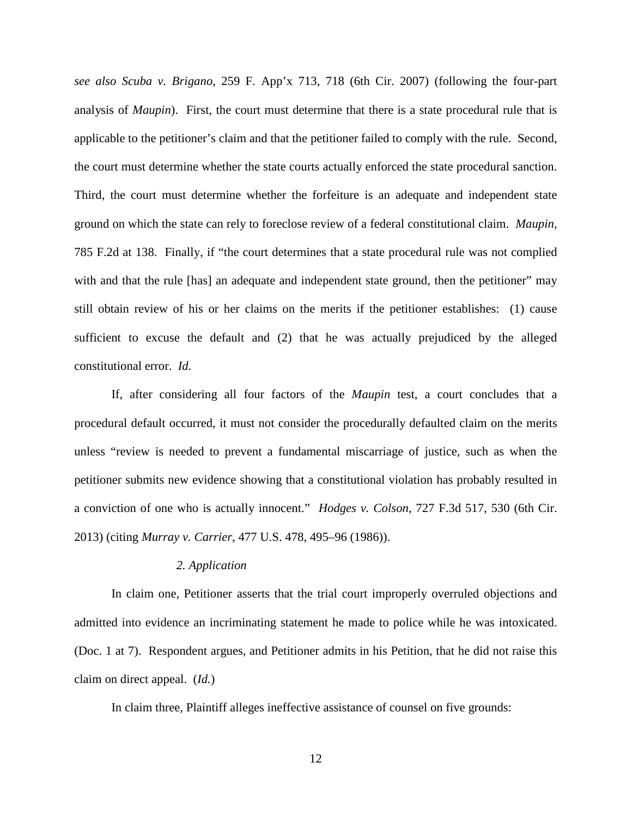*see also Scuba v. Brigano*, 259 F. App'x 713, 718 (6th Cir. 2007) (following the four-part analysis of *Maupin*). First, the court must determine that there is a state procedural rule that is applicable to the petitioner's claim and that the petitioner failed to comply with the rule. Second, the court must determine whether the state courts actually enforced the state procedural sanction. Third, the court must determine whether the forfeiture is an adequate and independent state ground on which the state can rely to foreclose review of a federal constitutional claim. *Maupin*, 785 F.2d at 138. Finally, if "the court determines that a state procedural rule was not complied with and that the rule [has] an adequate and independent state ground, then the petitioner" may still obtain review of his or her claims on the merits if the petitioner establishes: (1) cause sufficient to excuse the default and (2) that he was actually prejudiced by the alleged constitutional error. *Id*.

If, after considering all four factors of the *Maupin* test, a court concludes that a procedural default occurred, it must not consider the procedurally defaulted claim on the merits unless "review is needed to prevent a fundamental miscarriage of justice, such as when the petitioner submits new evidence showing that a constitutional violation has probably resulted in a conviction of one who is actually innocent." *Hodges v. Colson*, 727 F.3d 517, 530 (6th Cir. 2013) (citing *Murray v. Carrier*, 477 U.S. 478, 495–96 (1986)).

## *2. Application*

In claim one, Petitioner asserts that the trial court improperly overruled objections and admitted into evidence an incriminating statement he made to police while he was intoxicated. (Doc. 1 at 7). Respondent argues, and Petitioner admits in his Petition, that he did not raise this claim on direct appeal. (*Id.*)

In claim three, Plaintiff alleges ineffective assistance of counsel on five grounds: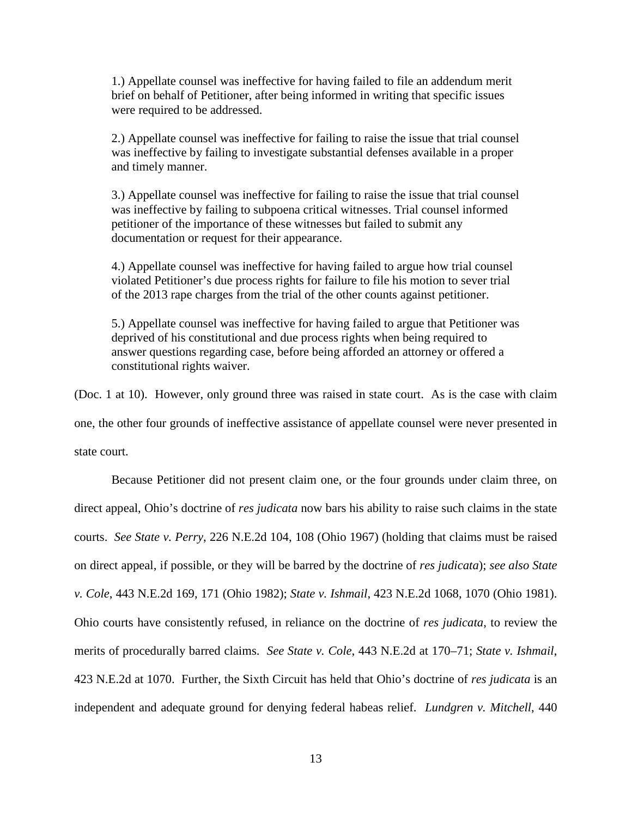1.) Appellate counsel was ineffective for having failed to file an addendum merit brief on behalf of Petitioner, after being informed in writing that specific issues were required to be addressed.

2.) Appellate counsel was ineffective for failing to raise the issue that trial counsel was ineffective by failing to investigate substantial defenses available in a proper and timely manner.

3.) Appellate counsel was ineffective for failing to raise the issue that trial counsel was ineffective by failing to subpoena critical witnesses. Trial counsel informed petitioner of the importance of these witnesses but failed to submit any documentation or request for their appearance.

4.) Appellate counsel was ineffective for having failed to argue how trial counsel violated Petitioner's due process rights for failure to file his motion to sever trial of the 2013 rape charges from the trial of the other counts against petitioner.

5.) Appellate counsel was ineffective for having failed to argue that Petitioner was deprived of his constitutional and due process rights when being required to answer questions regarding case, before being afforded an attorney or offered a constitutional rights waiver.

(Doc. 1 at 10). However, only ground three was raised in state court. As is the case with claim one, the other four grounds of ineffective assistance of appellate counsel were never presented in state court.

Because Petitioner did not present claim one, or the four grounds under claim three, on direct appeal, Ohio's doctrine of *res judicata* now bars his ability to raise such claims in the state courts. *See State v. Perry*, 226 N.E.2d 104, 108 (Ohio 1967) (holding that claims must be raised on direct appeal, if possible, or they will be barred by the doctrine of *res judicata*); *see also State v. Cole*, 443 N.E.2d 169, 171 (Ohio 1982); *State v. Ishmail*, 423 N.E.2d 1068, 1070 (Ohio 1981). Ohio courts have consistently refused, in reliance on the doctrine of *res judicata*, to review the merits of procedurally barred claims. *See State v. Cole*, 443 N.E.2d at 170–71; *State v. Ishmail*, 423 N.E.2d at 1070. Further, the Sixth Circuit has held that Ohio's doctrine of *res judicata* is an independent and adequate ground for denying federal habeas relief. *Lundgren v. Mitchell*, 440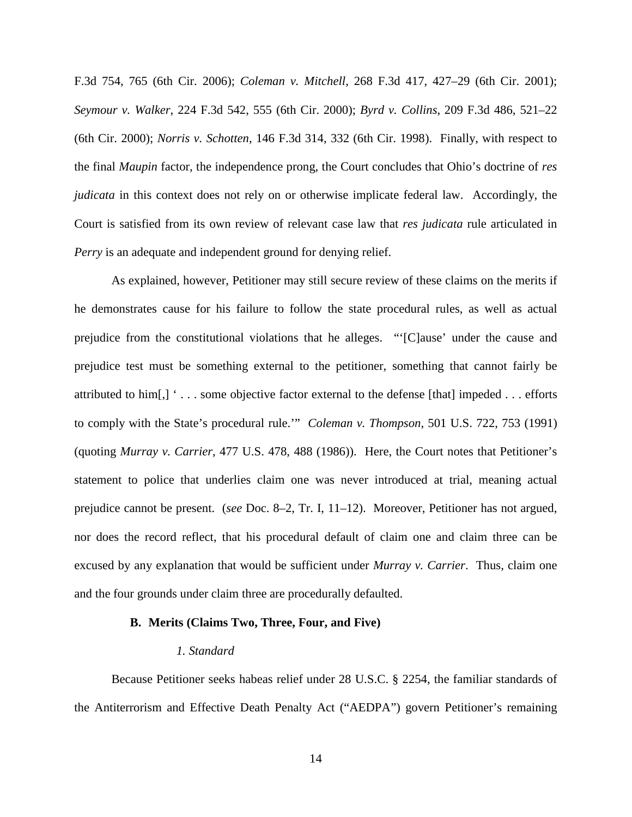F.3d 754, 765 (6th Cir. 2006); *Coleman v. Mitchell*, 268 F.3d 417, 427–29 (6th Cir. 2001); *Seymour v. Walker*, 224 F.3d 542, 555 (6th Cir. 2000); *Byrd v. Collins*, 209 F.3d 486, 521–22 (6th Cir. 2000); *Norris v. Schotten*, 146 F.3d 314, 332 (6th Cir. 1998). Finally, with respect to the final *Maupin* factor, the independence prong, the Court concludes that Ohio's doctrine of *res judicata* in this context does not rely on or otherwise implicate federal law. Accordingly, the Court is satisfied from its own review of relevant case law that *res judicata* rule articulated in *Perry* is an adequate and independent ground for denying relief.

As explained, however, Petitioner may still secure review of these claims on the merits if he demonstrates cause for his failure to follow the state procedural rules, as well as actual prejudice from the constitutional violations that he alleges. "'[C]ause' under the cause and prejudice test must be something external to the petitioner, something that cannot fairly be attributed to him[,] ' . . . some objective factor external to the defense [that] impeded . . . efforts to comply with the State's procedural rule.'" *Coleman v. Thompson*, 501 U.S. 722, 753 (1991) (quoting *Murray v. Carrier*, 477 U.S. 478, 488 (1986)). Here, the Court notes that Petitioner's statement to police that underlies claim one was never introduced at trial, meaning actual prejudice cannot be present. (*see* Doc. 8–2, Tr. I, 11–12). Moreover, Petitioner has not argued, nor does the record reflect, that his procedural default of claim one and claim three can be excused by any explanation that would be sufficient under *Murray v. Carrier*. Thus, claim one and the four grounds under claim three are procedurally defaulted.

## **B. Merits (Claims Two, Three, Four, and Five)**

#### *1. Standard*

Because Petitioner seeks habeas relief under 28 U.S.C. § 2254, the familiar standards of the Antiterrorism and Effective Death Penalty Act ("AEDPA") govern Petitioner's remaining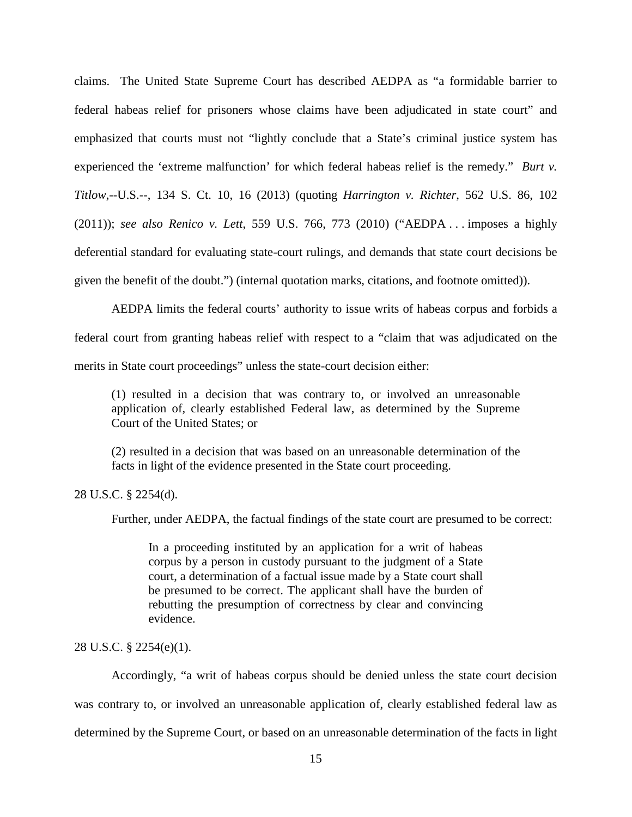claims. The United State Supreme Court has described AEDPA as "a formidable barrier to federal habeas relief for prisoners whose claims have been adjudicated in state court" and emphasized that courts must not "lightly conclude that a State's criminal justice system has experienced the 'extreme malfunction' for which federal habeas relief is the remedy." *Burt v. Titlow*,--U.S.--, 134 S. Ct. 10, 16 (2013) (quoting *Harrington v. Richter*, 562 U.S. 86, 102 (2011)); *see also Renico v. Lett*, 559 U.S. 766, 773 (2010) ("AEDPA . . . imposes a highly deferential standard for evaluating state-court rulings, and demands that state court decisions be given the benefit of the doubt.") (internal quotation marks, citations, and footnote omitted)).

AEDPA limits the federal courts' authority to issue writs of habeas corpus and forbids a federal court from granting habeas relief with respect to a "claim that was adjudicated on the merits in State court proceedings" unless the state-court decision either:

(1) resulted in a decision that was contrary to, or involved an unreasonable application of, clearly established Federal law, as determined by the Supreme Court of the United States; or

(2) resulted in a decision that was based on an unreasonable determination of the facts in light of the evidence presented in the State court proceeding.

28 U.S.C. § 2254(d).

Further, under AEDPA, the factual findings of the state court are presumed to be correct:

In a proceeding instituted by an application for a writ of habeas corpus by a person in custody pursuant to the judgment of a State court, a determination of a factual issue made by a State court shall be presumed to be correct. The applicant shall have the burden of rebutting the presumption of correctness by clear and convincing evidence.

28 U.S.C. § 2254(e)(1).

Accordingly, "a writ of habeas corpus should be denied unless the state court decision was contrary to, or involved an unreasonable application of, clearly established federal law as determined by the Supreme Court, or based on an unreasonable determination of the facts in light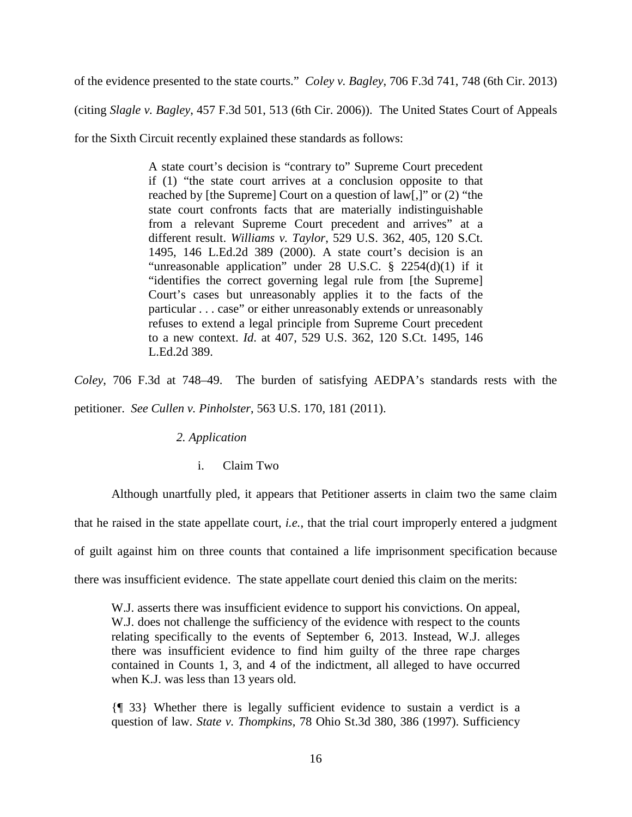of the evidence presented to the state courts." *Coley v. Bagley*, 706 F.3d 741, 748 (6th Cir. 2013)

(citing *Slagle v. Bagley*, 457 F.3d 501, 513 (6th Cir. 2006)). The United States Court of Appeals

for the Sixth Circuit recently explained these standards as follows:

A state court's decision is "contrary to" Supreme Court precedent if (1) "the state court arrives at a conclusion opposite to that reached by [the Supreme] Court on a question of law[,]" or (2) "the state court confronts facts that are materially indistinguishable from a relevant Supreme Court precedent and arrives" at a different result. *Williams v. Taylor*, 529 U.S. 362, 405, 120 S.Ct. 1495, 146 L.Ed.2d 389 (2000). A state court's decision is an "unreasonable application" under 28 U.S.C. § 2254(d)(1) if it "identifies the correct governing legal rule from [the Supreme] Court's cases but unreasonably applies it to the facts of the particular . . . case" or either unreasonably extends or unreasonably refuses to extend a legal principle from Supreme Court precedent to a new context. *Id*. at 407, 529 U.S. 362, 120 S.Ct. 1495, 146 L.Ed.2d 389.

*Coley*, 706 F.3d at 748–49. The burden of satisfying AEDPA's standards rests with the petitioner. *See Cullen v. Pinholster*, 563 U.S. 170, 181 (2011).

## *2. Application*

i. Claim Two

Although unartfully pled, it appears that Petitioner asserts in claim two the same claim that he raised in the state appellate court, *i.e.*, that the trial court improperly entered a judgment of guilt against him on three counts that contained a life imprisonment specification because there was insufficient evidence. The state appellate court denied this claim on the merits:

W.J. asserts there was insufficient evidence to support his convictions. On appeal, W.J. does not challenge the sufficiency of the evidence with respect to the counts relating specifically to the events of September 6, 2013. Instead, W.J. alleges there was insufficient evidence to find him guilty of the three rape charges contained in Counts 1, 3, and 4 of the indictment, all alleged to have occurred when K.J. was less than 13 years old.

{¶ 33} Whether there is legally sufficient evidence to sustain a verdict is a question of law. *State v. Thompkins*, 78 Ohio St.3d 380, 386 (1997). Sufficiency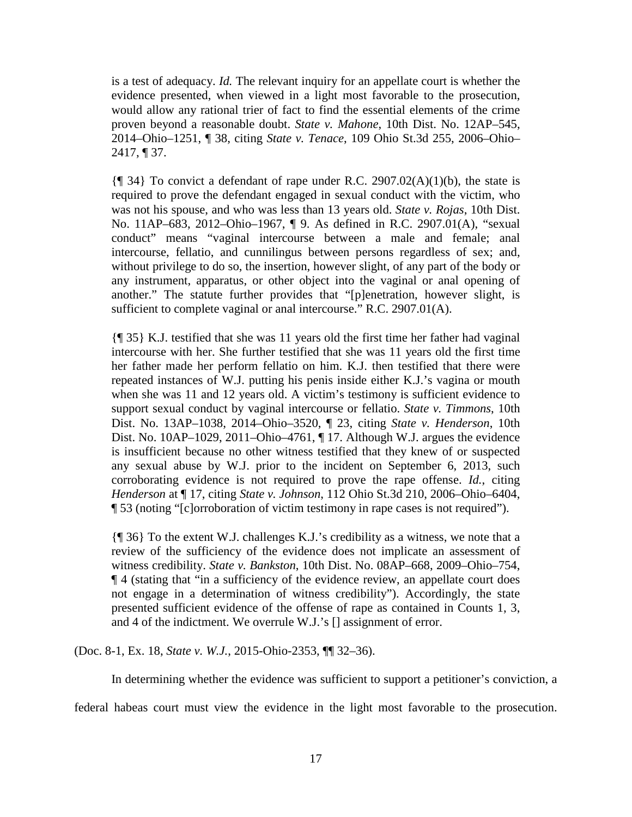is a test of adequacy. *Id.* The relevant inquiry for an appellate court is whether the evidence presented, when viewed in a light most favorable to the prosecution, would allow any rational trier of fact to find the essential elements of the crime proven beyond a reasonable doubt. *State v. Mahone*, 10th Dist. No. 12AP–545, 2014–Ohio–1251, ¶ 38, citing *State v. Tenace*, 109 Ohio St.3d 255, 2006–Ohio– 2417, ¶ 37.

 ${\lceil \langle 1 \rangle \rceil}$  To convict a defendant of rape under R.C. 2907.02(A)(1)(b), the state is required to prove the defendant engaged in sexual conduct with the victim, who was not his spouse, and who was less than 13 years old. *State v. Rojas*, 10th Dist. No. 11AP–683, 2012–Ohio–1967, ¶ 9. As defined in R.C. 2907.01(A), "sexual conduct" means "vaginal intercourse between a male and female; anal intercourse, fellatio, and cunnilingus between persons regardless of sex; and, without privilege to do so, the insertion, however slight, of any part of the body or any instrument, apparatus, or other object into the vaginal or anal opening of another." The statute further provides that "[p]enetration, however slight, is sufficient to complete vaginal or anal intercourse." R.C. 2907.01(A).

{¶ 35} K.J. testified that she was 11 years old the first time her father had vaginal intercourse with her. She further testified that she was 11 years old the first time her father made her perform fellatio on him. K.J. then testified that there were repeated instances of W.J. putting his penis inside either K.J.'s vagina or mouth when she was 11 and 12 years old. A victim's testimony is sufficient evidence to support sexual conduct by vaginal intercourse or fellatio. *State v. Timmons*, 10th Dist. No. 13AP–1038, 2014–Ohio–3520, ¶ 23, citing *State v. Henderson*, 10th Dist. No. 10AP–1029, 2011–Ohio–4761, ¶ 17. Although W.J. argues the evidence is insufficient because no other witness testified that they knew of or suspected any sexual abuse by W.J. prior to the incident on September 6, 2013, such corroborating evidence is not required to prove the rape offense. *Id.*, citing *Henderson* at ¶ 17, citing *State v. Johnson*, 112 Ohio St.3d 210, 2006–Ohio–6404, ¶ 53 (noting "[c]orroboration of victim testimony in rape cases is not required").

{¶ 36} To the extent W.J. challenges K.J.'s credibility as a witness, we note that a review of the sufficiency of the evidence does not implicate an assessment of witness credibility. *State v. Bankston*, 10th Dist. No. 08AP–668, 2009–Ohio–754, ¶ 4 (stating that "in a sufficiency of the evidence review, an appellate court does not engage in a determination of witness credibility"). Accordingly, the state presented sufficient evidence of the offense of rape as contained in Counts 1, 3, and 4 of the indictment. We overrule W.J.'s [] assignment of error.

(Doc. 8-1, Ex. 18, *State v. W.J.*, 2015-Ohio-2353, ¶¶ 32–36).

In determining whether the evidence was sufficient to support a petitioner's conviction, a

federal habeas court must view the evidence in the light most favorable to the prosecution.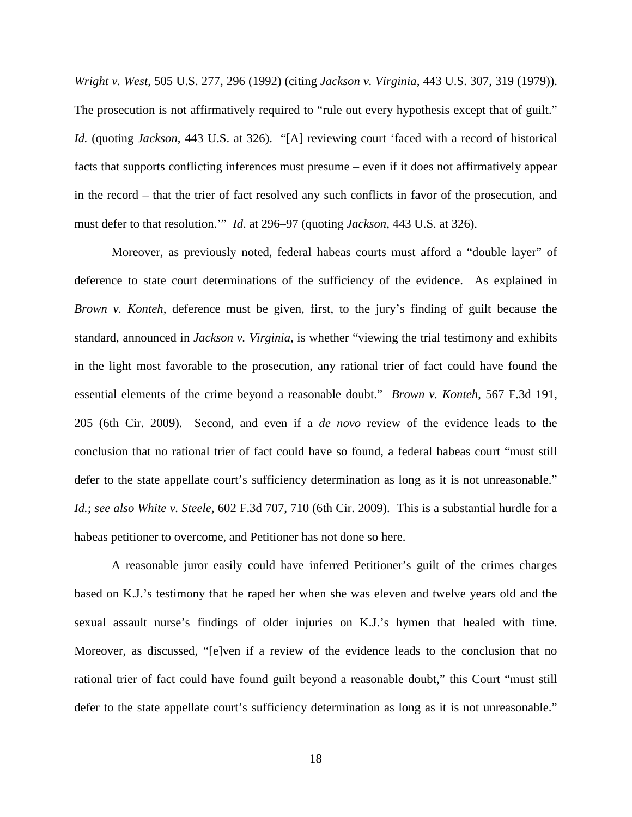*Wright v. West*, 505 U.S. 277, 296 (1992) (citing *Jackson v. Virginia*, 443 U.S. 307, 319 (1979)). The prosecution is not affirmatively required to "rule out every hypothesis except that of guilt." *Id.* (quoting *Jackson*, 443 U.S. at 326). "[A] reviewing court 'faced with a record of historical facts that supports conflicting inferences must presume – even if it does not affirmatively appear in the record – that the trier of fact resolved any such conflicts in favor of the prosecution, and must defer to that resolution.'" *Id*. at 296–97 (quoting *Jackson*, 443 U.S. at 326).

Moreover, as previously noted, federal habeas courts must afford a "double layer" of deference to state court determinations of the sufficiency of the evidence. As explained in *Brown v. Konteh*, deference must be given, first, to the jury's finding of guilt because the standard, announced in *Jackson v. Virginia*, is whether "viewing the trial testimony and exhibits in the light most favorable to the prosecution, any rational trier of fact could have found the essential elements of the crime beyond a reasonable doubt." *Brown v. Konteh*, 567 F.3d 191, 205 (6th Cir. 2009). Second, and even if a *de novo* review of the evidence leads to the conclusion that no rational trier of fact could have so found, a federal habeas court "must still defer to the state appellate court's sufficiency determination as long as it is not unreasonable." *Id.*; *see also White v. Steele*, 602 F.3d 707, 710 (6th Cir. 2009). This is a substantial hurdle for a habeas petitioner to overcome, and Petitioner has not done so here.

A reasonable juror easily could have inferred Petitioner's guilt of the crimes charges based on K.J.'s testimony that he raped her when she was eleven and twelve years old and the sexual assault nurse's findings of older injuries on K.J.'s hymen that healed with time. Moreover, as discussed, "[e]ven if a review of the evidence leads to the conclusion that no rational trier of fact could have found guilt beyond a reasonable doubt," this Court "must still defer to the state appellate court's sufficiency determination as long as it is not unreasonable."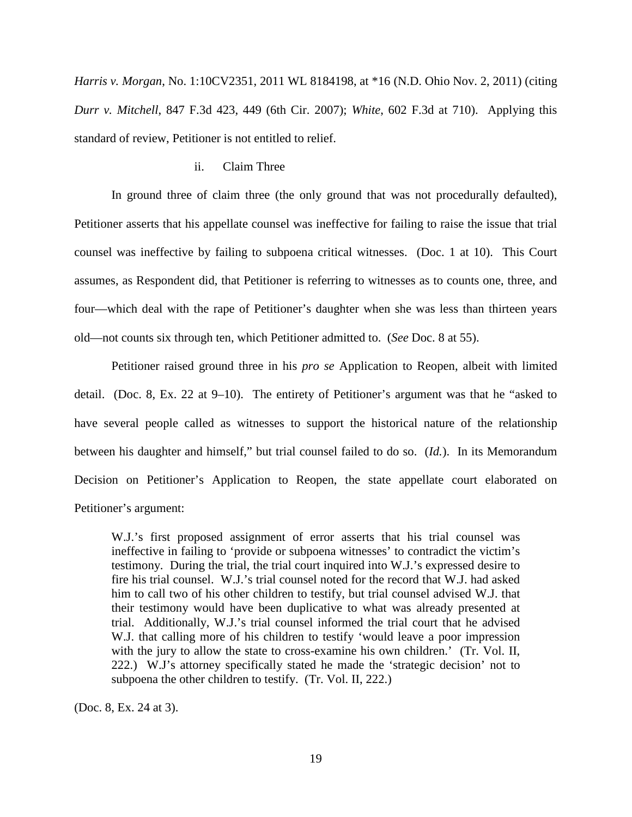*Harris v. Morgan*, No. 1:10CV2351, 2011 WL 8184198, at \*16 (N.D. Ohio Nov. 2, 2011) (citing *Durr v. Mitchell*, 847 F.3d 423, 449 (6th Cir. 2007); *White*, 602 F.3d at 710). Applying this standard of review, Petitioner is not entitled to relief.

#### ii. Claim Three

In ground three of claim three (the only ground that was not procedurally defaulted), Petitioner asserts that his appellate counsel was ineffective for failing to raise the issue that trial counsel was ineffective by failing to subpoena critical witnesses. (Doc. 1 at 10). This Court assumes, as Respondent did, that Petitioner is referring to witnesses as to counts one, three, and four—which deal with the rape of Petitioner's daughter when she was less than thirteen years old—not counts six through ten, which Petitioner admitted to. (*See* Doc. 8 at 55).

Petitioner raised ground three in his *pro se* Application to Reopen, albeit with limited detail. (Doc. 8, Ex. 22 at 9–10). The entirety of Petitioner's argument was that he "asked to have several people called as witnesses to support the historical nature of the relationship between his daughter and himself," but trial counsel failed to do so. (*Id.*). In its Memorandum Decision on Petitioner's Application to Reopen, the state appellate court elaborated on Petitioner's argument:

W.J.'s first proposed assignment of error asserts that his trial counsel was ineffective in failing to 'provide or subpoena witnesses' to contradict the victim's testimony. During the trial, the trial court inquired into W.J.'s expressed desire to fire his trial counsel. W.J.'s trial counsel noted for the record that W.J. had asked him to call two of his other children to testify, but trial counsel advised W.J. that their testimony would have been duplicative to what was already presented at trial. Additionally, W.J.'s trial counsel informed the trial court that he advised W.J. that calling more of his children to testify 'would leave a poor impression with the jury to allow the state to cross-examine his own children.' (Tr. Vol. II, 222.) W.J's attorney specifically stated he made the 'strategic decision' not to subpoena the other children to testify. (Tr. Vol. II, 222.)

(Doc. 8, Ex. 24 at 3).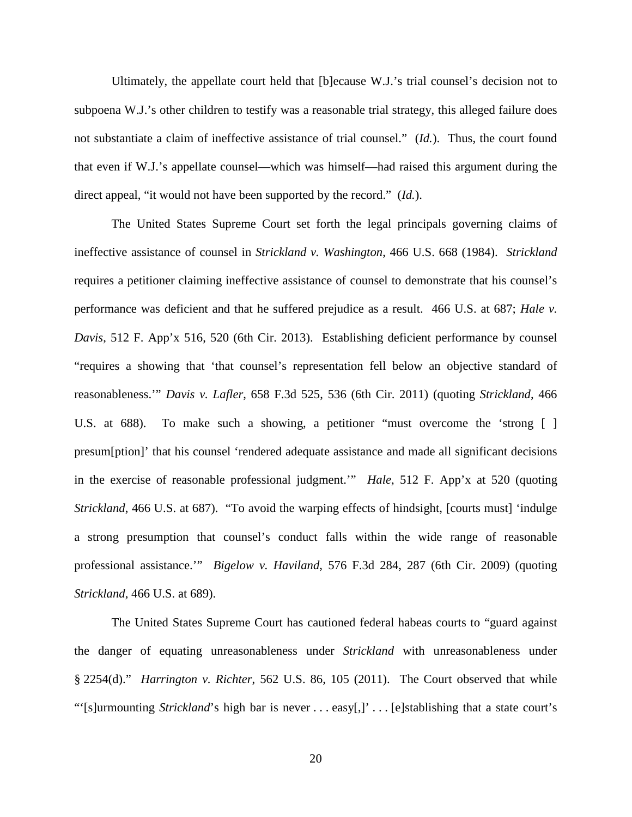Ultimately, the appellate court held that [b]ecause W.J.'s trial counsel's decision not to subpoena W.J.'s other children to testify was a reasonable trial strategy, this alleged failure does not substantiate a claim of ineffective assistance of trial counsel." (*Id.*). Thus, the court found that even if W.J.'s appellate counsel—which was himself—had raised this argument during the direct appeal, "it would not have been supported by the record." (*Id.*).

The United States Supreme Court set forth the legal principals governing claims of ineffective assistance of counsel in *Strickland v. Washington*, 466 U.S. 668 (1984). *Strickland*  requires a petitioner claiming ineffective assistance of counsel to demonstrate that his counsel's performance was deficient and that he suffered prejudice as a result. 466 U.S. at 687; *Hale v. Davis*, 512 F. App'x 516, 520 (6th Cir. 2013). Establishing deficient performance by counsel "requires a showing that 'that counsel's representation fell below an objective standard of reasonableness.'" *Davis v. Lafler*, 658 F.3d 525, 536 (6th Cir. 2011) (quoting *Strickland*, 466 U.S. at 688). To make such a showing, a petitioner "must overcome the 'strong [ ] presum[ption]' that his counsel 'rendered adequate assistance and made all significant decisions in the exercise of reasonable professional judgment.'" *Hale*, 512 F. App'x at 520 (quoting *Strickland*, 466 U.S. at 687). "To avoid the warping effects of hindsight, [courts must] 'indulge a strong presumption that counsel's conduct falls within the wide range of reasonable professional assistance.'" *Bigelow v. Haviland*, 576 F.3d 284, 287 (6th Cir. 2009) (quoting *Strickland*, 466 U.S. at 689).

The United States Supreme Court has cautioned federal habeas courts to "guard against the danger of equating unreasonableness under *Strickland* with unreasonableness under § 2254(d)." *Harrington v. Richter*, 562 U.S. 86, 105 (2011). The Court observed that while "'[s]urmounting *Strickland*'s high bar is never . . . easy[,]' . . . [e]stablishing that a state court's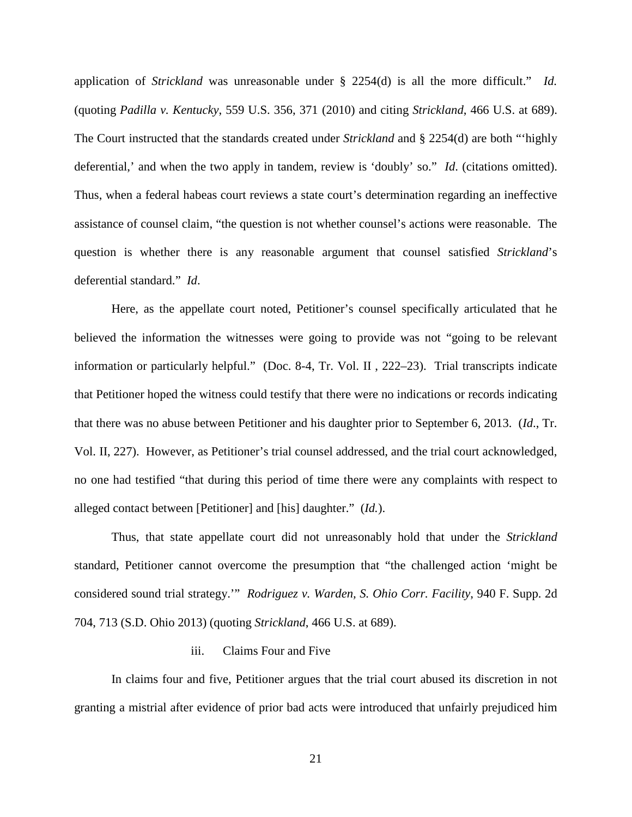application of *Strickland* was unreasonable under § 2254(d) is all the more difficult." *Id.* (quoting *Padilla v. Kentucky*, 559 U.S. 356, 371 (2010) and citing *Strickland*, 466 U.S. at 689). The Court instructed that the standards created under *Strickland* and § 2254(d) are both "'highly deferential,' and when the two apply in tandem, review is 'doubly' so." *Id*. (citations omitted). Thus, when a federal habeas court reviews a state court's determination regarding an ineffective assistance of counsel claim, "the question is not whether counsel's actions were reasonable. The question is whether there is any reasonable argument that counsel satisfied *Strickland*'s deferential standard." *Id*.

Here, as the appellate court noted, Petitioner's counsel specifically articulated that he believed the information the witnesses were going to provide was not "going to be relevant information or particularly helpful." (Doc. 8-4, Tr. Vol. II , 222–23). Trial transcripts indicate that Petitioner hoped the witness could testify that there were no indications or records indicating that there was no abuse between Petitioner and his daughter prior to September 6, 2013. (*Id*., Tr. Vol. II, 227). However, as Petitioner's trial counsel addressed, and the trial court acknowledged, no one had testified "that during this period of time there were any complaints with respect to alleged contact between [Petitioner] and [his] daughter." (*Id.*).

Thus, that state appellate court did not unreasonably hold that under the *Strickland* standard, Petitioner cannot overcome the presumption that "the challenged action 'might be considered sound trial strategy.'" *Rodriguez v. Warden, S. Ohio Corr. Facility*, 940 F. Supp. 2d 704, 713 (S.D. Ohio 2013) (quoting *Strickland*, 466 U.S. at 689).

#### iii. Claims Four and Five

In claims four and five, Petitioner argues that the trial court abused its discretion in not granting a mistrial after evidence of prior bad acts were introduced that unfairly prejudiced him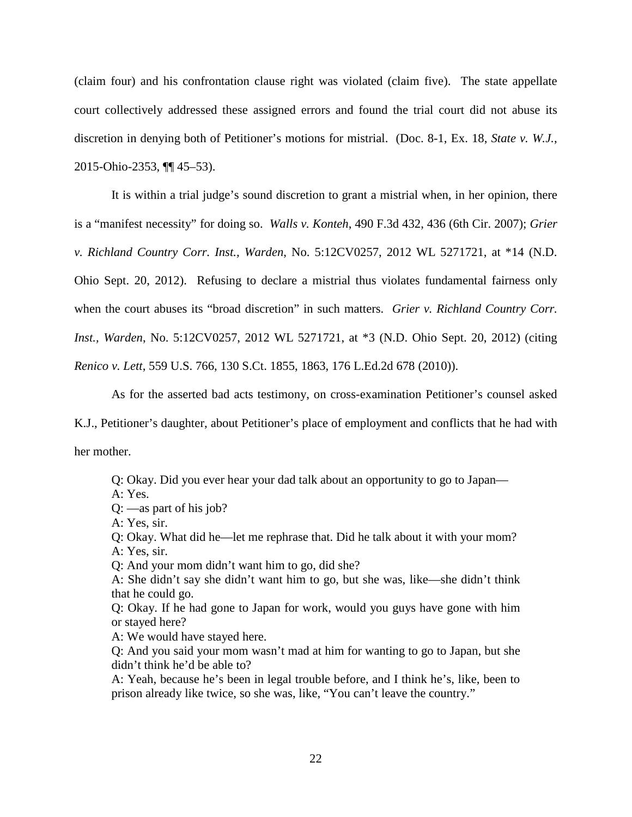(claim four) and his confrontation clause right was violated (claim five). The state appellate court collectively addressed these assigned errors and found the trial court did not abuse its discretion in denying both of Petitioner's motions for mistrial. (Doc. 8-1, Ex. 18, *State v. W.J.*, 2015-Ohio-2353, ¶¶ 45–53).

It is within a trial judge's sound discretion to grant a mistrial when, in her opinion, there is a "manifest necessity" for doing so. *Walls v. Konteh*, 490 F.3d 432, 436 (6th Cir. 2007); *Grier v. Richland Country Corr. Inst., Warden*, No. 5:12CV0257, 2012 WL 5271721, at \*14 (N.D. Ohio Sept. 20, 2012). Refusing to declare a mistrial thus violates fundamental fairness only when the court abuses its "broad discretion" in such matters. *Grier v. Richland Country Corr. Inst., Warden*, No. 5:12CV0257, 2012 WL 5271721, at \*3 (N.D. Ohio Sept. 20, 2012) (citing *Renico v. Lett*, 559 U.S. 766, 130 S.Ct. 1855, 1863, 176 L.Ed.2d 678 (2010)).

As for the asserted bad acts testimony, on cross-examination Petitioner's counsel asked

K.J., Petitioner's daughter, about Petitioner's place of employment and conflicts that he had with her mother.

Q: Okay. Did you ever hear your dad talk about an opportunity to go to Japan—

A: Yes.

Q: —as part of his job?

A: Yes, sir.

Q: Okay. What did he—let me rephrase that. Did he talk about it with your mom? A: Yes, sir.

Q: And your mom didn't want him to go, did she?

A: She didn't say she didn't want him to go, but she was, like—she didn't think that he could go.

Q: Okay. If he had gone to Japan for work, would you guys have gone with him or stayed here?

A: We would have stayed here.

Q: And you said your mom wasn't mad at him for wanting to go to Japan, but she didn't think he'd be able to?

A: Yeah, because he's been in legal trouble before, and I think he's, like, been to prison already like twice, so she was, like, "You can't leave the country."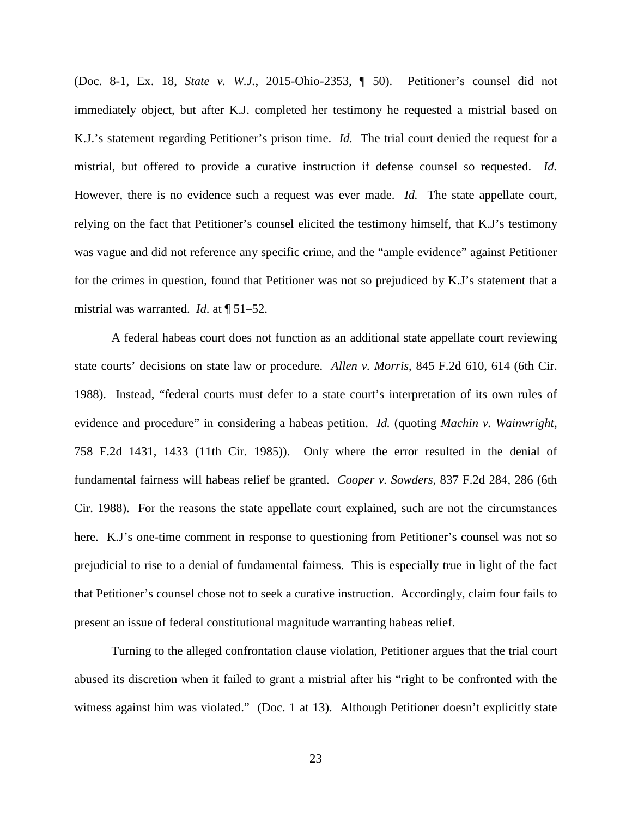(Doc. 8-1, Ex. 18, *State v. W.J.*, 2015-Ohio-2353, ¶ 50). Petitioner's counsel did not immediately object, but after K.J. completed her testimony he requested a mistrial based on K.J.'s statement regarding Petitioner's prison time. *Id.* The trial court denied the request for a mistrial, but offered to provide a curative instruction if defense counsel so requested. *Id.* However, there is no evidence such a request was ever made. *Id.* The state appellate court, relying on the fact that Petitioner's counsel elicited the testimony himself, that K.J's testimony was vague and did not reference any specific crime, and the "ample evidence" against Petitioner for the crimes in question, found that Petitioner was not so prejudiced by K.J's statement that a mistrial was warranted. *Id.* at ¶ 51–52.

A federal habeas court does not function as an additional state appellate court reviewing state courts' decisions on state law or procedure. *Allen v. Morris*, 845 F.2d 610, 614 (6th Cir. 1988). Instead, "federal courts must defer to a state court's interpretation of its own rules of evidence and procedure" in considering a habeas petition. *Id.* (quoting *Machin v. Wainwright*, 758 F.2d 1431, 1433 (11th Cir. 1985)). Only where the error resulted in the denial of fundamental fairness will habeas relief be granted. *Cooper v. Sowders*, 837 F.2d 284, 286 (6th Cir. 1988). For the reasons the state appellate court explained, such are not the circumstances here. K.J's one-time comment in response to questioning from Petitioner's counsel was not so prejudicial to rise to a denial of fundamental fairness. This is especially true in light of the fact that Petitioner's counsel chose not to seek a curative instruction. Accordingly, claim four fails to present an issue of federal constitutional magnitude warranting habeas relief.

Turning to the alleged confrontation clause violation, Petitioner argues that the trial court abused its discretion when it failed to grant a mistrial after his "right to be confronted with the witness against him was violated." (Doc. 1 at 13). Although Petitioner doesn't explicitly state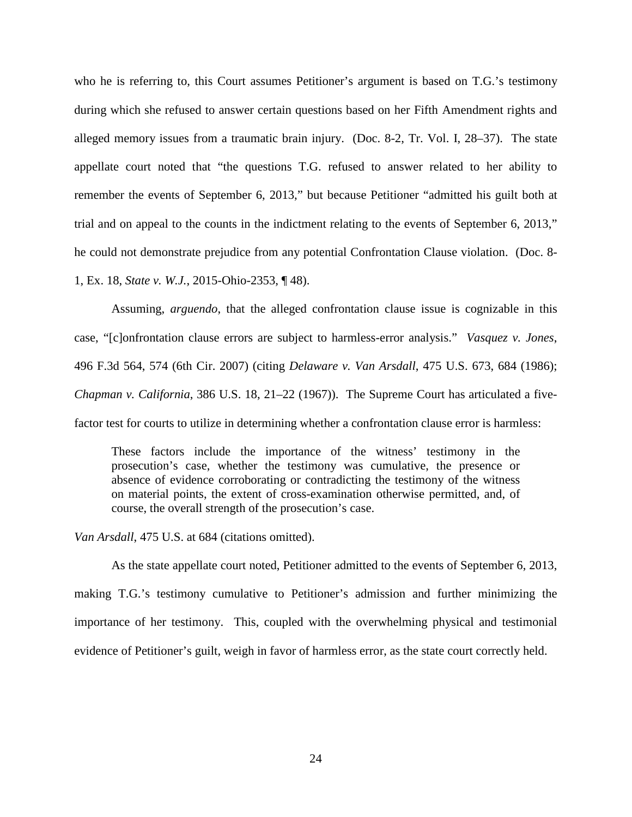who he is referring to, this Court assumes Petitioner's argument is based on T.G.'s testimony during which she refused to answer certain questions based on her Fifth Amendment rights and alleged memory issues from a traumatic brain injury. (Doc. 8-2, Tr. Vol. I, 28–37). The state appellate court noted that "the questions T.G. refused to answer related to her ability to remember the events of September 6, 2013," but because Petitioner "admitted his guilt both at trial and on appeal to the counts in the indictment relating to the events of September 6, 2013," he could not demonstrate prejudice from any potential Confrontation Clause violation. (Doc. 8- 1, Ex. 18, *State v. W.J.*, 2015-Ohio-2353, ¶ 48).

Assuming, *arguendo*, that the alleged confrontation clause issue is cognizable in this case, "[c]onfrontation clause errors are subject to harmless-error analysis." *Vasquez v. Jones*, 496 F.3d 564, 574 (6th Cir. 2007) (citing *Delaware v. Van Arsdall*, 475 U.S. 673, 684 (1986); *Chapman v. California*, 386 U.S. 18, 21–22 (1967)). The Supreme Court has articulated a fivefactor test for courts to utilize in determining whether a confrontation clause error is harmless:

These factors include the importance of the witness' testimony in the prosecution's case, whether the testimony was cumulative, the presence or absence of evidence corroborating or contradicting the testimony of the witness on material points, the extent of cross-examination otherwise permitted, and, of course, the overall strength of the prosecution's case.

*Van Arsdall*, 475 U.S. at 684 (citations omitted).

As the state appellate court noted, Petitioner admitted to the events of September 6, 2013, making T.G.'s testimony cumulative to Petitioner's admission and further minimizing the importance of her testimony. This, coupled with the overwhelming physical and testimonial evidence of Petitioner's guilt, weigh in favor of harmless error, as the state court correctly held.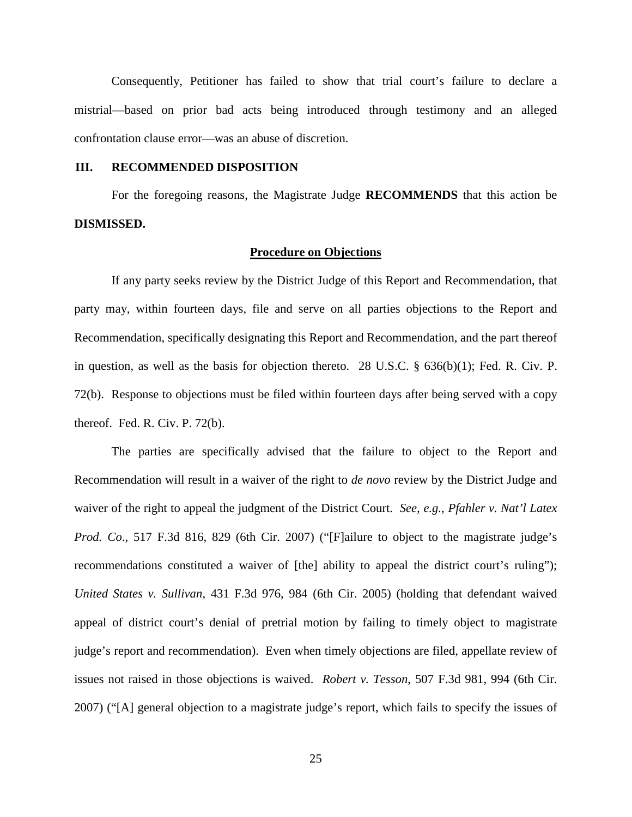Consequently, Petitioner has failed to show that trial court's failure to declare a mistrial—based on prior bad acts being introduced through testimony and an alleged confrontation clause error—was an abuse of discretion.

### **III. RECOMMENDED DISPOSITION**

For the foregoing reasons, the Magistrate Judge **RECOMMENDS** that this action be **DISMISSED.**

#### **Procedure on Objections**

If any party seeks review by the District Judge of this Report and Recommendation, that party may, within fourteen days, file and serve on all parties objections to the Report and Recommendation, specifically designating this Report and Recommendation, and the part thereof in question, as well as the basis for objection thereto. 28 U.S.C. § 636(b)(1); Fed. R. Civ. P. 72(b). Response to objections must be filed within fourteen days after being served with a copy thereof. Fed. R. Civ. P. 72(b).

The parties are specifically advised that the failure to object to the Report and Recommendation will result in a waiver of the right to *de novo* review by the District Judge and waiver of the right to appeal the judgment of the District Court. *See, e.g.*, *Pfahler v. Nat'l Latex Prod. Co.*, 517 F.3d 816, 829 (6th Cir. 2007) ("[F]ailure to object to the magistrate judge's recommendations constituted a waiver of [the] ability to appeal the district court's ruling"); *United States v. Sullivan*, 431 F.3d 976, 984 (6th Cir. 2005) (holding that defendant waived appeal of district court's denial of pretrial motion by failing to timely object to magistrate judge's report and recommendation). Even when timely objections are filed, appellate review of issues not raised in those objections is waived. *Robert v. Tesson*, 507 F.3d 981, 994 (6th Cir. 2007) ("[A] general objection to a magistrate judge's report, which fails to specify the issues of